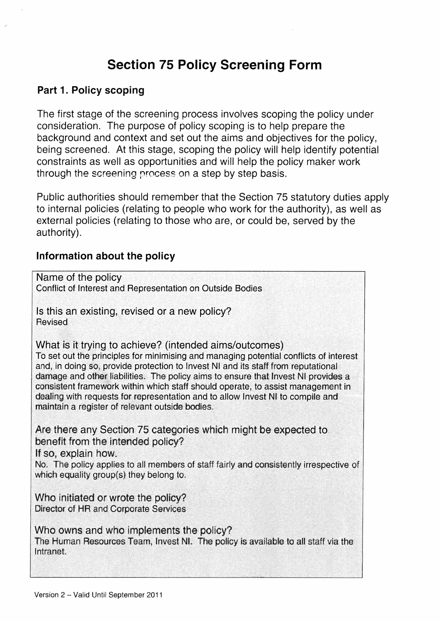# Section 75 Policy Screening Form

#### Part 1. Policy scoping

The first stage of the screening process involves scoping the policy under consideration. The purpose of policy scoping is to help prepare the background and context and set out the aims and objectives for the policy, being screened. At this stage, scoping the policy will help identify potential constraints as well as opportunities and will help the policy maker work through the screening process on a step by step basis.

Public authorities should remember that the Section 75 statutory duties apply to internal policies (relating to people who work for the authority), as well as external policies (relating to those who are, or could be, served by the authority).

#### Information about the policy

| Name of the policy<br>Conflict of Interest and Representation on Outside Bodies                                                                                                                                                                                                                                                                                                                                                                                                                                                                   |
|---------------------------------------------------------------------------------------------------------------------------------------------------------------------------------------------------------------------------------------------------------------------------------------------------------------------------------------------------------------------------------------------------------------------------------------------------------------------------------------------------------------------------------------------------|
| Is this an existing, revised or a new policy?<br><b>Revised</b>                                                                                                                                                                                                                                                                                                                                                                                                                                                                                   |
| What is it trying to achieve? (intended aims/outcomes)<br>To set out the principles for minimising and managing potential conflicts of interest<br>and, in doing so, provide protection to Invest NI and its staff from reputational<br>damage and other liabilities. The policy aims to ensure that Invest NI provides a<br>consistent framework within which staff should operate, to assist management in<br>dealing with requests for representation and to allow Invest NI to compile and<br>maintain a register of relevant outside bodies. |
| Are there any Section 75 categories which might be expected to<br>benefit from the intended policy?<br>If so, explain how.<br>No. The policy applies to all members of staff fairly and consistently irrespective of                                                                                                                                                                                                                                                                                                                              |
| which equality group(s) they belong to.                                                                                                                                                                                                                                                                                                                                                                                                                                                                                                           |
| Who initiated or wrote the policy?<br>Director of HR and Corporate Services                                                                                                                                                                                                                                                                                                                                                                                                                                                                       |
| Who owns and who implements the policy?<br>The Human Resources Team, Invest NI. The policy is available to all staff via the<br>Intranet.                                                                                                                                                                                                                                                                                                                                                                                                         |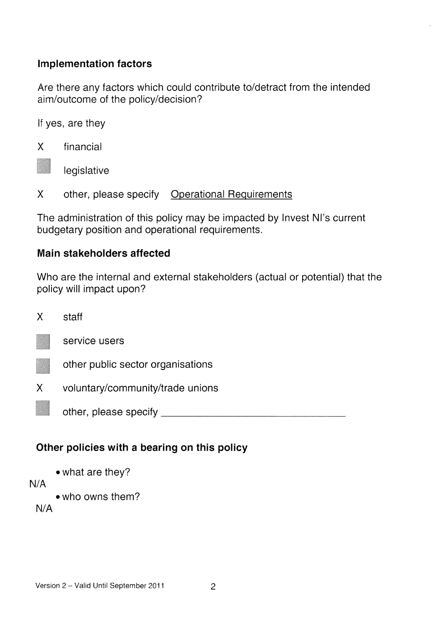#### Implementation factors

Are there any factors which could contribute to/detract from the intended aim/outcome of the policy/decision?

If yes, are they



—p legislative

<sup>X</sup> other, please specify Operational Requirements

The administration of this policy may be impacted by Invest NI's current budgetary position and operational requirements.

#### Main stakeholders affected

Who are the internal and external stakeholders (actual or potential) that the policy will impact upon?

X staff service users other public sector organisations voluntary/community/trade unions other, please specify x

## Other policies with a bearing on this policy

• what are they?

N/A

• who owns them?

N/A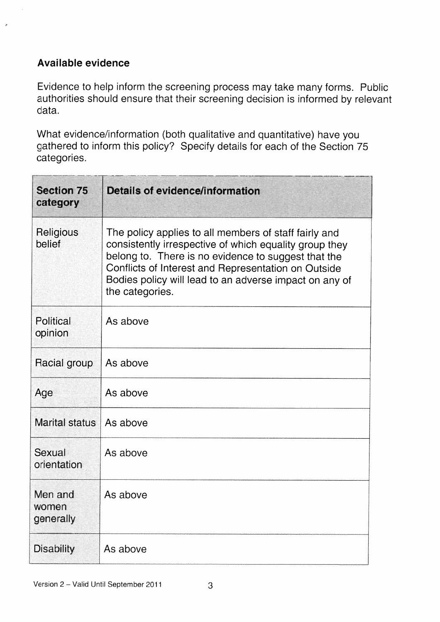#### Available evidence

Evidence to help inform the screening process may take many forms. Public authorities should ensure that their screening decision is informed by relevant data.

What evidence/information (both qualitative and quantitative) have you gathered to inform this policy? Specify details for each of the Section 75 categories.

| <b>Section 75</b><br>category | Details of evidence/information                                                                                                                                                                                                                                                                            |  |
|-------------------------------|------------------------------------------------------------------------------------------------------------------------------------------------------------------------------------------------------------------------------------------------------------------------------------------------------------|--|
| Religious<br>belief           | The policy applies to all members of staff fairly and<br>consistently irrespective of which equality group they<br>belong to. There is no evidence to suggest that the<br>Conflicts of Interest and Representation on Outside<br>Bodies policy will lead to an adverse impact on any of<br>the categories. |  |
| Political<br>opinion          | As above                                                                                                                                                                                                                                                                                                   |  |
| Racial group                  | As above                                                                                                                                                                                                                                                                                                   |  |
| Age                           | As above                                                                                                                                                                                                                                                                                                   |  |
| <b>Marital status</b>         | As above                                                                                                                                                                                                                                                                                                   |  |
| Sexual<br>orientation         | As above                                                                                                                                                                                                                                                                                                   |  |
| Men and<br>women<br>generally | As above                                                                                                                                                                                                                                                                                                   |  |
| <b>Disability</b>             | As above                                                                                                                                                                                                                                                                                                   |  |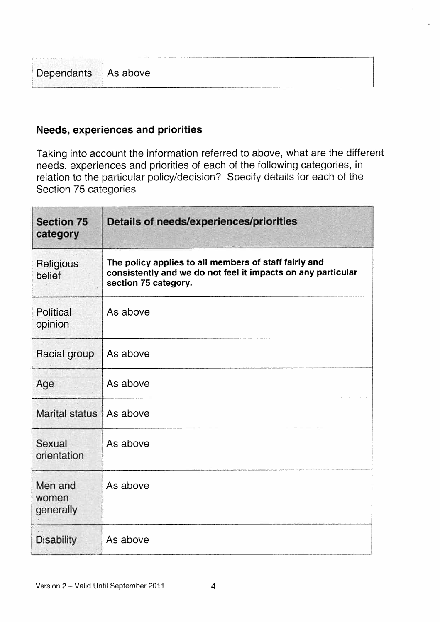| Dependants   As above |  |
|-----------------------|--|

#### Needs, experiences and priorities

Taking into account the information referred to above, what are the different needs, experiences and priorities of each of the following categories, in relation to the particular policy/decision? Specify details for each of the Section 75 categories

| <b>Section 75</b><br>category | Details of needs/experiences/priorities                                                                                                       |  |
|-------------------------------|-----------------------------------------------------------------------------------------------------------------------------------------------|--|
| Religious<br>belief           | The policy applies to all members of staff fairly and<br>consistently and we do not feel it impacts on any particular<br>section 75 category. |  |
| Political<br>opinion          | As above                                                                                                                                      |  |
| Racial group                  | As above                                                                                                                                      |  |
| Age                           | As above                                                                                                                                      |  |
| <b>Marital status</b>         | As above                                                                                                                                      |  |
| Sexual<br>orientation         | As above                                                                                                                                      |  |
| Men and<br>women<br>generally | As above                                                                                                                                      |  |
| <b>Disability</b>             | As above                                                                                                                                      |  |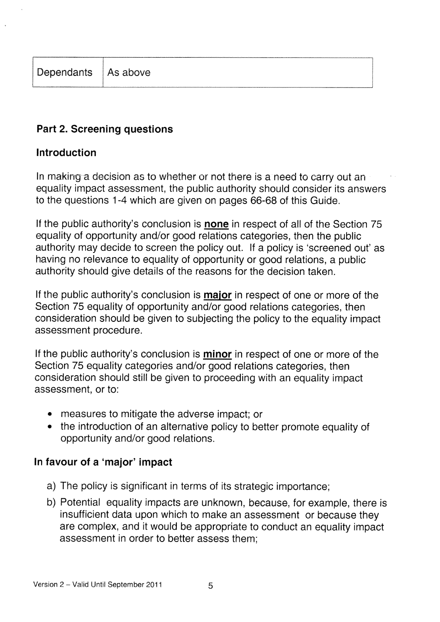## Part 2. Screening questions

### Introduction

In making a decision as to whether or not there is a need to carry out an equality impact assessment, the public authority should consider its answers to the questions 1-4 which are given on pages 66-68 of this Guide.

If the public authority's conclusion is **none** in respect of all of the Section 75 equality of opportunity and/or good relations categories, then the public authority may decide to screen the policy out. If a policy is 'screened out' as having no relevance to equality of opportunity or good relations, a public authority should give details of the reasons for the decision taken.

If the public authority's conclusion is **major** in respect of one or more of the Section 75 equality of opportunity and/or good relations categories, then consideration should be given to subjecting the policy to the equality impact assessment procedure.

If the public authority's conclusion is **minor** in respect of one or more of the Section 75 equality categories and/or good relations categories, then consideration should still be given to proceeding with an equality impact assessment, or to:

- measures to mitigate the adverse impact; or
- the introduction of an alternative policy to better promote equality of opportunity and/or good relations.

## In favour of a 'major' impact

- a) The policy is significant in terms of its strategic importance;
- b) Potential equality impacts are unknown, because, for example, there is insufficient data upon which to make an assessment or because they are complex, and it would be appropriate to conduct an equality impact assessment in order to better assess them;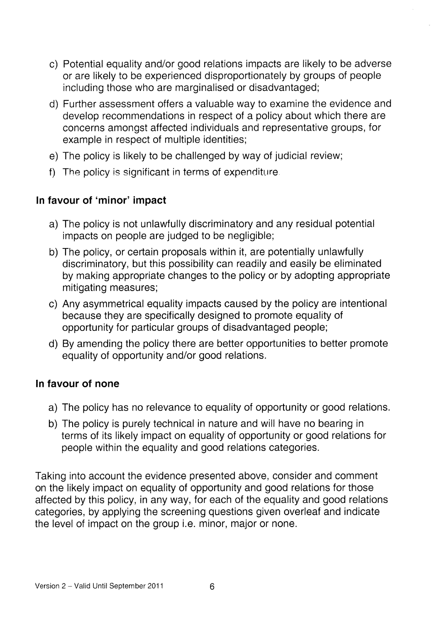- c) Potential equality and/or good relations impacts are likely to be adverse or are likely to be experienced disproportionately by groups of people including those who are marginalised or disadvantaged;
- d) Further assessment offers a valuable way to examine the evidence and develop recommendations in respect of a policy about which there are concerns amongst affected individuals and representative groups, for example in respect of multiple identities;
- e) The policy is likely to be challenged by way of judicial review;
- f) The policy is significant in terms of expenditure.

## In favour of 'minor' impact

- a) The policy is not unlawfully discriminatory and any residual potential impacts on people are judged to be negligible;
- b) The policy, or certain proposals within it, are potentially unlawfully discriminatory, but this possibility can readily and easily be eliminated by making appropriate changes to the policy or by adopting appropriate mitigating measures;
- c) Any asymmetrical equality impacts caused by the policy are intentional because they are specifically designed to promote equality of opportunity for particular groups of disadvantaged people;
- d) By amending the policy there are better opportunities to better promote equality of opportunity and/or good relations.

#### In favour of none

- a) The policy has no relevance to equality of opportunity or good relations.
- b) The policy is purely technical in nature and will have no bearing in terms of its likely impact on equality of opportunity or good relations for people within the equality and good relations categories.

Taking into account the evidence presented above, consider and comment on the likely impact on equality of opportunity and good relations for those affected by this policy, in any way, for each of the equality and good relations categories, by applying the screening questions given overleaf and indicate the level of impact on the group i.e. minor, major or none.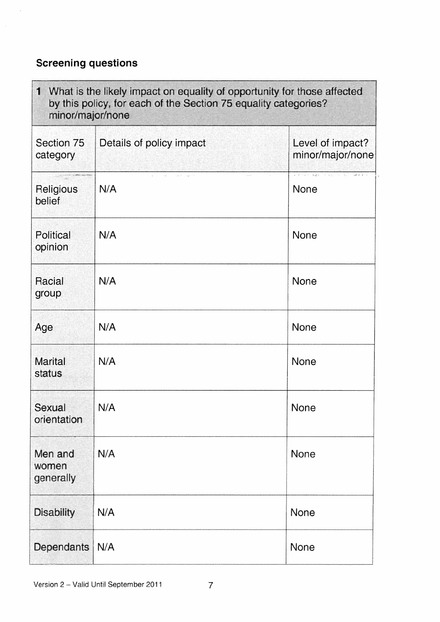## Screening questions

 $\overline{\phantom{a}}$ 

| 1 What is the likely impact on equality of opportunity for those affected<br>by this policy, for each of the Section 75 equality categories?<br>minor/major/none |                          |                                                                   |
|------------------------------------------------------------------------------------------------------------------------------------------------------------------|--------------------------|-------------------------------------------------------------------|
| Section 75<br>category                                                                                                                                           | Details of policy impact | Level of impact?<br>minor/major/none                              |
| Religious<br>belief                                                                                                                                              | N/A                      | and then August the second control of August to<br>$\sim$<br>None |
| Political<br>opinion                                                                                                                                             | N/A                      | None                                                              |
| <b>Racial</b><br>group                                                                                                                                           | N/A                      | None                                                              |
| Age                                                                                                                                                              | N/A                      | <b>None</b>                                                       |
| <b>Marital</b><br>status                                                                                                                                         | N/A                      | None                                                              |
| Sexual<br>orientation                                                                                                                                            | N/A                      | <b>None</b>                                                       |
| Men and<br>women<br>generally                                                                                                                                    | N/A                      | None                                                              |
| <b>Disability</b>                                                                                                                                                | N/A                      | None                                                              |
| Dependants                                                                                                                                                       | N/A                      | None                                                              |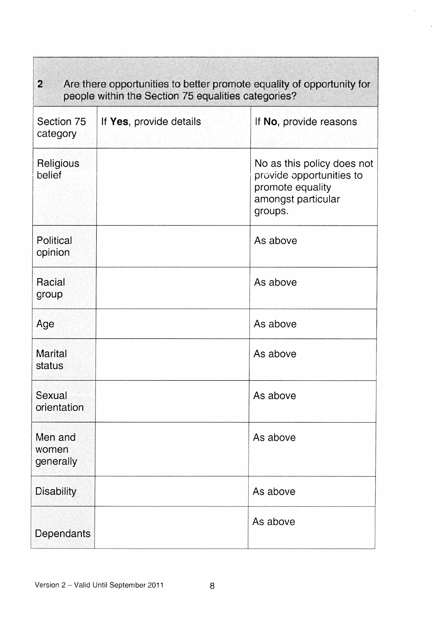| $\overline{2}$<br>Are there opportunities to better promote equality of opportunity for<br>people within the Section 75 equalities categories? |                         |                                                                                                             |
|------------------------------------------------------------------------------------------------------------------------------------------------|-------------------------|-------------------------------------------------------------------------------------------------------------|
| Section 75<br>category                                                                                                                         | If Yes, provide details | If No, provide reasons                                                                                      |
| Religious<br>belief                                                                                                                            |                         | No as this policy does not<br>provide opportunities to<br>promote equality<br>amongst particular<br>groups. |
| Political<br>opinion                                                                                                                           |                         | As above                                                                                                    |
| Racial<br>group                                                                                                                                |                         | As above                                                                                                    |
| Age                                                                                                                                            |                         | As above                                                                                                    |
| <b>Marital</b><br>status                                                                                                                       |                         | As above                                                                                                    |
| Sexual<br>orientation                                                                                                                          |                         | As above                                                                                                    |
| Men and<br>women<br>generally                                                                                                                  |                         | As above                                                                                                    |
| <b>Disability</b>                                                                                                                              |                         | As above                                                                                                    |
| <b>Dependants</b>                                                                                                                              |                         | As above                                                                                                    |

 $\epsilon$ 

٦

Г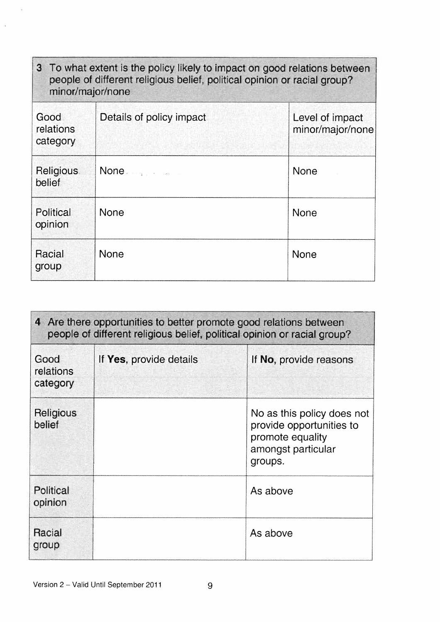| 3 To what extent is the policy likely to impact on good relations between<br>people of different religious belief, political opinion or racial group?<br>minor/major/none |                          |                                     |
|---------------------------------------------------------------------------------------------------------------------------------------------------------------------------|--------------------------|-------------------------------------|
| Good<br>relations<br>category                                                                                                                                             | Details of policy impact | Level of impact<br>minor/major/none |
| <b>Religious</b><br>belief                                                                                                                                                | None and the second      | <b>None</b>                         |
| Political<br>opinion                                                                                                                                                      | <b>None</b>              | None                                |
| Racial<br>group                                                                                                                                                           | <b>None</b>              | <b>None</b>                         |

| 4 Are there opportunities to better promote good relations between<br>people of different religious belief, political opinion or racial group? |                         |                                                                                                             |
|------------------------------------------------------------------------------------------------------------------------------------------------|-------------------------|-------------------------------------------------------------------------------------------------------------|
| Good<br>relations<br>category                                                                                                                  | If Yes, provide details | If No, provide reasons                                                                                      |
| Religious<br>belief                                                                                                                            |                         | No as this policy does not<br>provide opportunities to<br>promote equality<br>amongst particular<br>groups. |
| Political<br>opinion                                                                                                                           |                         | As above                                                                                                    |
| Racial<br>group                                                                                                                                |                         | As above                                                                                                    |

 $\overline{1}$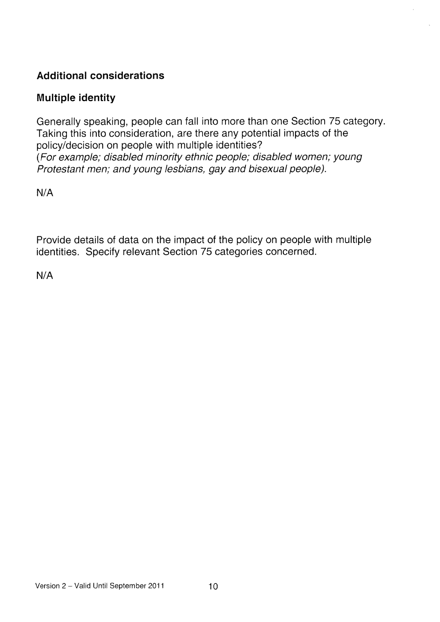## Additional considerations

## Multiple identity

Generally speaking, people can fall into more than one Section 75 category. Taking this into consideration, are there any potential impacts of the policy/decision on people with multiple identities? (For example; disabled minority ethnic people; disabled women; young Protestant men; and young lesbians, gay and bisexual people).

N/A

Provide details of data on the impact of the policy on people with multiple identities. Specify relevant Section 75 categories concerned.

N/A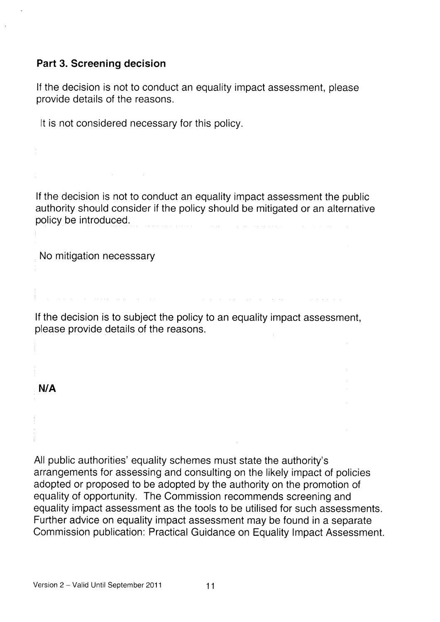#### Part 3. Screening decision

If the decision is not to conduct an equality impact assessment, please provide details of the reasons.

It is not considered necessary for this policy.

If the decision is not to conduct an equality impact assessment the public authority should consider if the policy should be mitigated or an alternative policy be introduced.

No mitigation necesssary

If the decision is to subject the policy to an equality impact assessment, please provide details of the reasons.

#### N/A

All public authorities' equality schemes must state the authority's arrangements for assessing and consulting on the likely impact of policies adopted or proposed to be adopted by the authority on the promotion of equality of opportunity. The Commission recommends screening and equality impact assessment as the tools to be utilised for such assessments. Further advice on equality impact assessment may be found in a separate Commission publication: Practical Guidance on Equality Impact Assessment.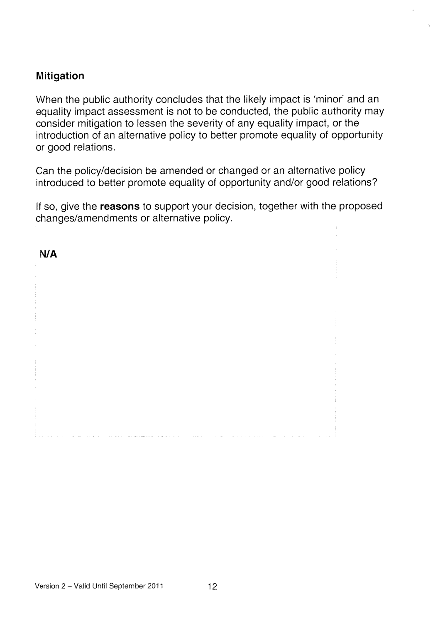#### Mitigation

When the public authority concludes that the likely impact is 'minor' and an equality impact assessment is not to be conducted, the public authority may consider mitigation to lessen the severity of any equality impact, or the introduction of an alternative policy to better promote equality of opportunity or good relations.

Can the policy/decision be amended or changed or an alternative policy introduced to better promote equality of opportunity and/or good relations?

If so, give the reasons to support your decision, together with the proposed changes/amendments or alternative policy.

N/A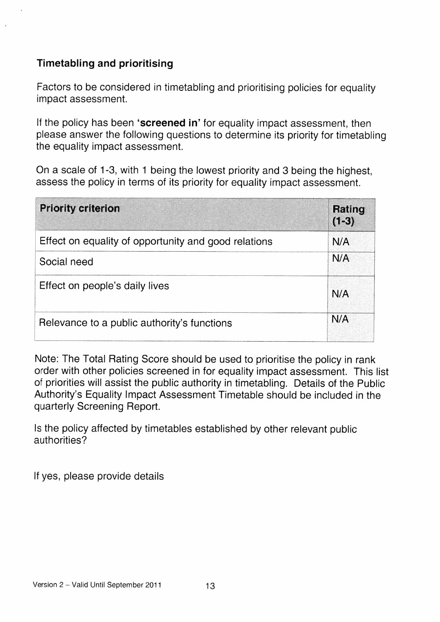## Timetabling and prioritising

Factors to be considered in timetabling and prioritising policies for equality impact assessment.

If the policy has been 'screened in' for equality impact assessment, then please answer the following questions to determine its priority for timetabling the equality impact assessment.

On a scale of 1-3, with <sup>1</sup> being the lowest priority and 3 being the highest, assess the policy in terms of its priority for equality impact assessment

| <b>Priority criterion</b>                            | <b>Rating</b><br>$(1-3)$ |
|------------------------------------------------------|--------------------------|
| Effect on equality of opportunity and good relations | N/A                      |
| Social need                                          | N/A                      |
| Effect on people's daily lives                       | N/A                      |
| Relevance to a public authority's functions          | N/A                      |

Note: The Total Rating Score should be used to prioritise the policy in rank order with other policies screened in for equality impact assessment. This list of priorities will assist the public authority in timetabling. Details of the Public Authority's Equality Impact Assessment Timetable should be included in the quarterly Screening Report.

Is the policy affected by timetables established by other relevant public authorities?

If yes. please provide details